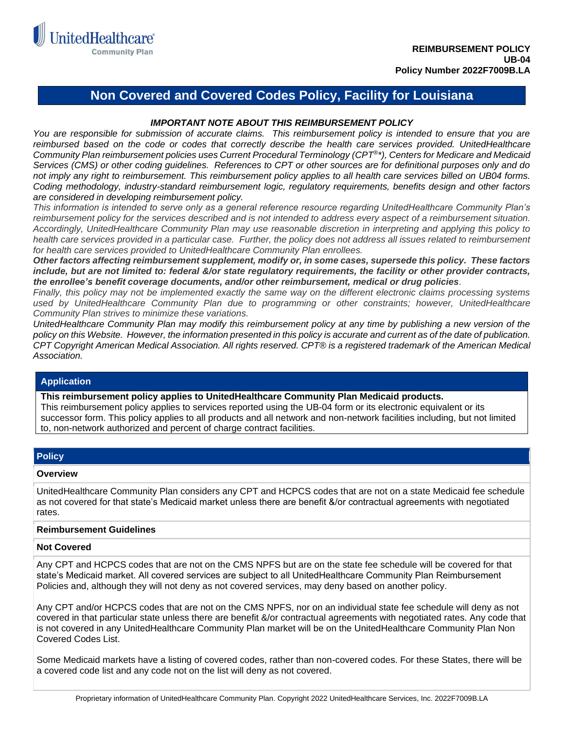

# **Non Covered and Covered Codes Policy, Facility for Louisiana**

# *IMPORTANT NOTE ABOUT THIS REIMBURSEMENT POLICY*

*You are responsible for submission of accurate claims. This reimbursement policy is intended to ensure that you are*  reimbursed based on the code or codes that correctly describe the health care services provided. UnitedHealthcare *Community Plan reimbursement policies uses Current Procedural Terminology (CPT®\*), Centers for Medicare and Medicaid Services (CMS) or other coding guidelines. References to CPT or other sources are for definitional purposes only and do not imply any right to reimbursement. This reimbursement policy applies to all health care services billed on UB04 forms. Coding methodology, industry-standard reimbursement logic, regulatory requirements, benefits design and other factors are considered in developing reimbursement policy.*

*This information is intended to serve only as a general reference resource regarding UnitedHealthcare Community Plan's reimbursement policy for the services described and is not intended to address every aspect of a reimbursement situation. Accordingly, UnitedHealthcare Community Plan may use reasonable discretion in interpreting and applying this policy to health care services provided in a particular case. Further, the policy does not address all issues related to reimbursement for health care services provided to UnitedHealthcare Community Plan enrollees.* 

*Other factors affecting reimbursement supplement, modify or, in some cases, supersede this policy. These factors include, but are not limited to: federal &/or state regulatory requirements, the facility or other provider contracts, the enrollee's benefit coverage documents, and/or other reimbursement, medical or drug policies.* 

*Finally, this policy may not be implemented exactly the same way on the different electronic claims processing systems used by UnitedHealthcare Community Plan due to programming or other constraints; however, UnitedHealthcare Community Plan strives to minimize these variations.*

*UnitedHealthcare Community Plan may modify this reimbursement policy at any time by publishing a new version of the policy on this Website. However, the information presented in this policy is accurate and current as of the date of publication. CPT Copyright American Medical Association. All rights reserved. CPT® is a registered trademark of the American Medical Association.*

## **Application**

**This reimbursement policy applies to UnitedHealthcare Community Plan Medicaid products.**

This reimbursement policy applies to services reported using the UB-04 form or its electronic equivalent or its successor form. This policy applies to all products and all network and non-network facilities including, but not limited to, non-network authorized and percent of charge contract facilities.

## **Policy**

#### **Overview**

UnitedHealthcare Community Plan considers any CPT and HCPCS codes that are not on a state Medicaid fee schedule as not covered for that state's Medicaid market unless there are benefit &/or contractual agreements with negotiated rates.

#### **Reimbursement Guidelines**

### **Not Covered**

Any CPT and HCPCS codes that are not on the CMS NPFS but are on the state fee schedule will be covered for that state's Medicaid market. All covered services are subject to all UnitedHealthcare Community Plan Reimbursement Policies and, although they will not deny as not covered services, may deny based on another policy.

Any CPT and/or HCPCS codes that are not on the CMS NPFS, nor on an individual state fee schedule will deny as not covered in that particular state unless there are benefit &/or contractual agreements with negotiated rates. Any code that is not covered in any UnitedHealthcare Community Plan market will be on the UnitedHealthcare Community Plan Non Covered Codes List.

Some Medicaid markets have a listing of covered codes, rather than non-covered codes. For these States, there will be a covered code list and any code not on the list will deny as not covered.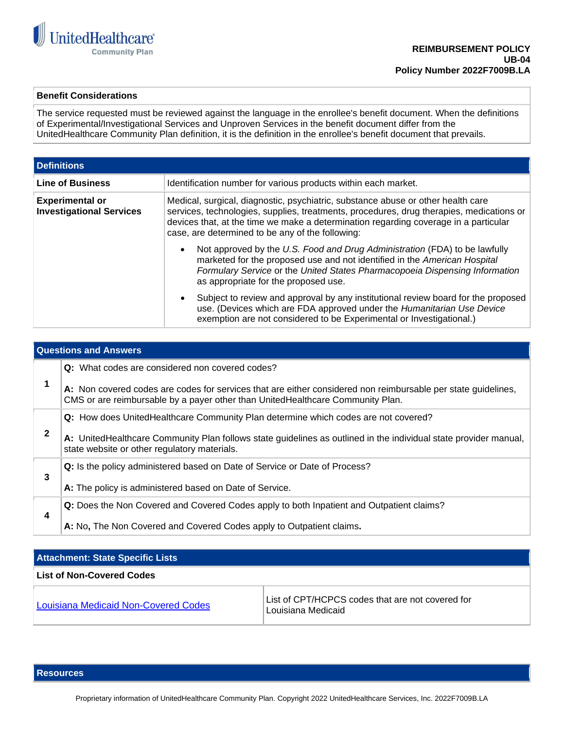

## **Benefit Considerations**

The service requested must be reviewed against the language in the enrollee's benefit document. When the definitions of Experimental/Investigational Services and Unproven Services in the benefit document differ from the UnitedHealthcare Community Plan definition, it is the definition in the enrollee's benefit document that prevails.

| <b>Definitions</b>                                        |                                                                                                                                                                                                                                                                                                                          |  |
|-----------------------------------------------------------|--------------------------------------------------------------------------------------------------------------------------------------------------------------------------------------------------------------------------------------------------------------------------------------------------------------------------|--|
| <b>Line of Business</b>                                   | Identification number for various products within each market.                                                                                                                                                                                                                                                           |  |
| <b>Experimental or</b><br><b>Investigational Services</b> | Medical, surgical, diagnostic, psychiatric, substance abuse or other health care<br>services, technologies, supplies, treatments, procedures, drug therapies, medications or<br>devices that, at the time we make a determination regarding coverage in a particular<br>case, are determined to be any of the following: |  |
|                                                           | Not approved by the U.S. Food and Drug Administration (FDA) to be lawfully<br>$\bullet$<br>marketed for the proposed use and not identified in the American Hospital<br>Formulary Service or the United States Pharmacopoeia Dispensing Information<br>as appropriate for the proposed use.                              |  |
|                                                           | Subject to review and approval by any institutional review board for the proposed<br>$\bullet$<br>use. (Devices which are FDA approved under the Humanitarian Use Device<br>exemption are not considered to be Experimental or Investigational.)                                                                         |  |

| <b>Questions and Answers</b> |                                                                                                                                                                                                 |  |
|------------------------------|-------------------------------------------------------------------------------------------------------------------------------------------------------------------------------------------------|--|
|                              | Q: What codes are considered non covered codes?                                                                                                                                                 |  |
|                              | A: Non covered codes are codes for services that are either considered non reimbursable per state guidelines,<br>CMS or are reimbursable by a payer other than UnitedHealthcare Community Plan. |  |
|                              | <b>Q:</b> How does UnitedHealthcare Community Plan determine which codes are not covered?                                                                                                       |  |
| $\mathbf{2}$                 | A: UnitedHealthcare Community Plan follows state guidelines as outlined in the individual state provider manual,<br>state website or other regulatory materials.                                |  |
|                              | Q: Is the policy administered based on Date of Service or Date of Process?                                                                                                                      |  |
| 3                            | A: The policy is administered based on Date of Service.                                                                                                                                         |  |
| 4                            | <b>Q:</b> Does the Non Covered and Covered Codes apply to both Inpatient and Outpatient claims?                                                                                                 |  |
|                              | A: No, The Non Covered and Covered Codes apply to Outpatient claims.                                                                                                                            |  |

| <b>Attachment: State Specific Lists</b>     |                                                                        |  |
|---------------------------------------------|------------------------------------------------------------------------|--|
| <b>List of Non-Covered Codes</b>            |                                                                        |  |
| <b>Louisiana Medicaid Non-Covered Codes</b> | List of CPT/HCPCS codes that are not covered for<br>Louisiana Medicaid |  |

**Resources**